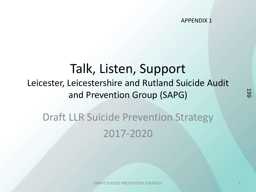APPENDIX 1

## Talk, Listen, Support Leicester, Leicestershire and Rutland Suicide Audit and Prevention Group (SAPG)

## Draft LLR Suicide Prevention Strategy 2017-2020

DRAFT SUICIDE PREVENTION STRATEGY 1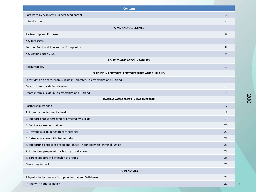| <b>Contents</b>                                                             |    |
|-----------------------------------------------------------------------------|----|
| Foreword by Alan Savill, a bereaved parent                                  | 3  |
| Introduction                                                                | 4  |
| <b>AIMS AND OBJECTIVES</b>                                                  |    |
| Partnership and Purpose                                                     | 6  |
| Key messages                                                                | 7  |
| Suicide Audit and Prevention Group Aims                                     | 8  |
| Key Actions 2017-2020                                                       | 9  |
| POLICIES AND ACCOUNTABILITY                                                 |    |
| Accountability                                                              | 11 |
| SUICIDE IN LEICESTER, LEICESTERSHIRE AND RUTLAND                            |    |
| Latest data on deaths from suicide in Leicester, Leicestershire and Rutland | 13 |
| Deaths from suicide in Leicester                                            | 14 |
| Deaths from suicide in Leicestershire and Rutland                           | 15 |
| <b>RAISING AWARENESS IN PARTNERSHIP</b>                                     |    |
| Partnership working                                                         | 17 |
| 1. Promote better mental health                                             | 18 |
| 2. Support people bereaved or affected by suicide                           | 19 |
| 3. Suicide awareness training                                               | 20 |
| 4. Prevent suicide in health care settings                                  | 21 |
| 5. Raise awareness with better data                                         | 22 |
| 6. Supporting people in prison and those in contact with criminal justice   | 23 |
| 7. Protecting people with a history of self-harm                            | 24 |
| 8. Target support at key high risk groups                                   | 25 |
| Measuring impact                                                            | 26 |
| <b>APPENDICIES</b>                                                          |    |
| All-party Parliamentary Group on Suicide and Self-harm                      | 28 |
| In line with national policy                                                | 29 |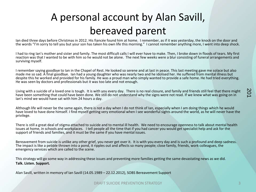## A personal account by Alan Savill, bereaved parent

Ian died three days before Christmas in 2012. His fiancée found him at home. I remember, as if it was yesterday, the knock on the door and the words "I'm sorry to tell you but your son has taken his own life this morning." I cannot remember anything more, I went into deep shock.

I had to ring Ian's mother and sister and family. The most difficult calls I will ever have to make. Then, I broke down in floods of tears. My first reaction was that I wanted to be with him so he would not be alone. The next few weeks were a blur consisting of funeral arrangements and surviving myself.

I remember saying goodbye to Ian in the Chapel of Rest. He looked so serene and at last in peace. This last meeting gave me solace but also made me so sad. A final goodbye. Ian had a young daughter who was nearly two and he idolised her. He suffered from mental illness but despite this he worked and provided for his family. He was a proud man who simply wanted to provide a safe home. He had tried everything. He was seen by doctors and professionals but it was too late and not enough.

Living with a suicide of a loved one is tough. It is with you every day. There is no real closure, and family and friends still feel that there might have been something that could have been done. We still do not understand why the signs were not read. If we knew what was going on in Ian's mind we would have sat with him 24 hours a day.

Although life will never be the same again, there is not a day when I do not think of Ian, especially when I am doing things which he would have loved to have done himself. I find myself getting very emotional when I see wonderful sights around the world, as he will never have the privilege.

There is still a great deal of stigma attached to suicide and to mental ill health. We need to encourage openness to talk about mental health issues at home, in schools and workplaces. I tell people all the time that if you had cancer you would get specialist help and ask for the support of friends and families, and it must be the same if you have mental issues.

Bereavement from suicide is unlike any other grief, you never get over it. It is with you every day and is such a profound and deep sadness. The impact is like a pebble thrown into a pond, it ripples out and affects so many people; close family, friends, work colleagues, the emergency services which are called to the scene.

This strategy will go some way in addressing these issues and preventing more families getting the same devastating news as we did. **Talk. Listen. Support.**

Alan Savill, written in memory of Ian Savill (14.05.1989 – 22.12.2012), SOBS Bereavement Support

**DRAFT SUICIDE PREVENTION STRATEGY 33 AND LOCAL CONTRACT SUICIDE PREVENTION STRATEGY**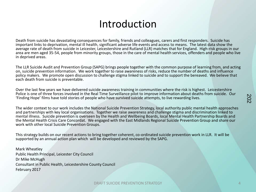#### Introduction

Death from suicide has devastating consequences for family, friends and colleagues, carers and first responders. Suicide has important links to deprivation, mental ill health, significant adverse life events and access to means. The latest data show the average rate of death from suicide in Leicester, Leicestershire and Rutland (LLR) matches that for England. High-risk groups in our area are men aged 35-54, people from minority groups, those in the care of mental health services, offenders and people who live in deprived areas.

The LLR Suicide Audit and Prevention Group (SAPG) brings people together with the common purpose of learning from, and acting on, suicide prevention information. We work together to raise awareness of risks, reduce the number of deaths and influence policy makers. We promote open discussion to challenge stigma linked to suicide and to support the bereaved. We believe that each death from suicide is preventable.

Over the last few years we have delivered suicide awareness training in communities where the risk is highest. Leicestershire Police is one of three forces involved in the Real Time Surveillance pilot to improve information about deaths from suicide. Our 'Finding Hope' films have told stories of people who have survived suicide attempts, to live rewarding lives.

The wider context to our work includes the National Suicide Prevention Strategy, local authority public mental health approaches and partnerships with key local organisations. Together we raise awareness and challenge stigma and discrimination linked to mental illness. Suicide prevention is overseen by the Health and Wellbeing Boards, local Mental Health Partnership Boards and the Mental Health Crisis Care Concordat. We engaged with the East Midlands Regional Suicide Prevention Group and share our work with other local Suicide Prevention Groups.

This strategy builds on our recent actions to bring together coherent, co-ordinated suicide prevention work in LLR. It will be supported by an annual action plan which will be developed and reviewed by the SAPG.

Mark Wheatley Public Health Principal, Leicester City Council Dr Mike McHugh Consultant in Public Health, Leicestershire County Council February 2017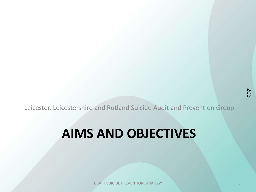Leicester, Leicestershire and Rutland Suicide Audit and Prevention Group

## **AIMS AND OBJECTIVES**

**DRAFT SUICIDE PREVENTION STRATEGY 5 SECOND REVENUE OF STRATEGY**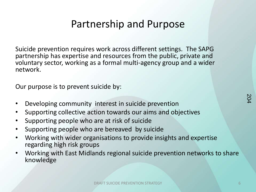## Partnership and Purpose

Suicide prevention requires work across different settings. The SAPG partnership has expertise and resources from the public, private and voluntary sector, working as a formal multi-agency group and a wider network.

Our purpose is to prevent suicide by:

- Developing community interest in suicide prevention
- Supporting collective action towards our aims and objectives
- Supporting people who are at risk of suicide
- Supporting people who are bereaved by suicide
- Working with wider organisations to provide insights and expertise regarding high risk groups
- Working with East Midlands regional suicide prevention networks to share knowledge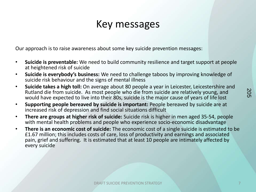## Key messages

Our approach is to raise awareness about some key suicide prevention messages:

- **Suicide is preventable:** We need to build community resilience and target support at people at heightened risk of suicide
- **Suicide is everybody's business:** We need to challenge taboos by improving knowledge of suicide risk behaviour and the signs of mental illness
- **Suicide takes a high toll:** On average about 80 people a year in Leicester, Leicestershire and Rutland die from suicide. As most people who die from suicide are relatively young, and would have expected to live into their 80s, suicide is the major cause of years of life lost
- **Supporting people bereaved by suicide is important:** People bereaved by suicide are at increased risk of depression and find social situations difficult
- **There are groups at higher risk of suicide:** Suicide risk is higher in men aged 35-54, people with mental health problems and people who experience socio-economic disadvantage
- **There is an economic cost of suicide:** The economic cost of a single suicide is estimated to be £1.67 million; this includes costs of care, loss of productivity and earnings and associated pain, grief and suffering. It is estimated that at least 10 people are intimately affected by every suicide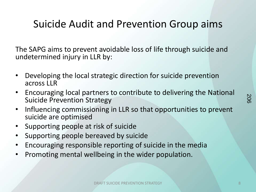## Suicide Audit and Prevention Group aims

The SAPG aims to prevent avoidable loss of life through suicide and undetermined injury in LLR by:

- Developing the local strategic direction for suicide prevention across LLR
- Encouraging local partners to contribute to delivering the National Suicide Prevention Strategy
- Influencing commissioning in LLR so that opportunities to prevent suicide are optimised
- Supporting people at risk of suicide
- Supporting people bereaved by suicide
- Encouraging responsible reporting of suicide in the media
- Promoting mental wellbeing in the wider population.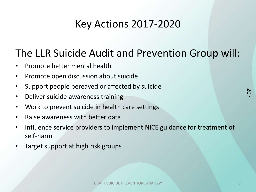## Key Actions 2017-2020

## The LLR Suicide Audit and Prevention Group will:

- Promote better mental health
- Promote open discussion about suicide
- Support people bereaved or affected by suicide
- Deliver suicide awareness training
- Work to prevent suicide in health care settings
- Raise awareness with better data
- Influence service providers to implement NICE guidance for treatment of self-harm
- Target support at high risk groups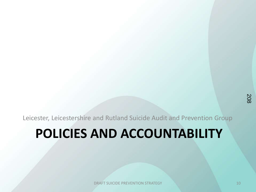Leicester, Leicestershire and Rutland Suicide Audit and Prevention Group

## **POLICIES AND ACCOUNTABILITY**

**DRAFT SUICIDE PREVENTION STRATEGY 10** 10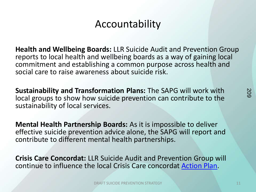## Accountability

**Health and Wellbeing Boards:** LLR Suicide Audit and Prevention Group reports to local health and wellbeing boards as a way of gaining local commitment and establishing a common purpose across health and social care to raise awareness about suicide risk.

**Sustainability and Transformation Plans:** The SAPG will work with local groups to show how suicide prevention can contribute to the sustainability of local services.

**Mental Health Partnership Boards:** As it is impossible to deliver effective suicide prevention advice alone, the SAPG will report and contribute to different mental health partnerships.

**Crisis Care Concordat:** LLR Suicide Audit and Prevention Group will continue to influence the local Crisis Care concordat [Action Plan.](http://www.crisiscareconcordat.org.uk/areas/leicester/)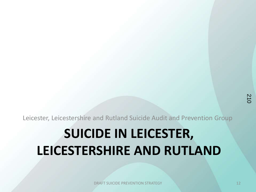Leicester, Leicestershire and Rutland Suicide Audit and Prevention Group

# **SUICIDE IN LEICESTER, LEICESTERSHIRE AND RUTLAND**

**DRAFT SUICIDE PREVENTION STRATEGY 12** 12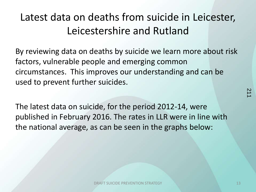## Latest data on deaths from suicide in Leicester, Leicestershire and Rutland

By reviewing data on deaths by suicide we learn more about risk factors, vulnerable people and emerging common circumstances. This improves our understanding and can be used to prevent further suicides.

The latest data on suicide, for the period 2012-14, were published in February 2016. The rates in LLR were in line with the national average, as can be seen in the graphs below:

21<br>21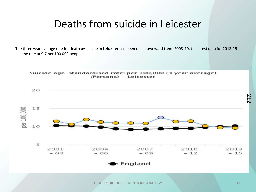## Deaths from suicide in Leicester

The three year average rate for death by suicide in Leicester has been on a downward trend 2008-10, the latest data for 2013-15 has the rate at 9.7 per 100,000 people.

Suicide age-standardised rate: per 100,000 (3 year average)

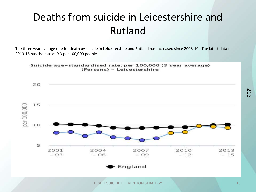## Deaths from suicide in Leicestershire and Rutland

The three year average rate for death by suicide in Leicestershire and Rutland has increased since 2008-10. The latest data for 2013-15 has the rate at 9.3 per 100,000 people.

Suicide age-standardised rate: per 100,000 (3 year average) (Persons) - Leicestershire



**DRAFT SUICIDE PREVENTION STRATEGY 15**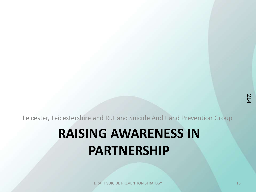Leicester, Leicestershire and Rutland Suicide Audit and Prevention Group

# **RAISING AWARENESS IN PARTNERSHIP**

**DRAFT SUICIDE PREVENTION STRATEGY 16 PROPERTY AND RELEASE AT A LIGHT CONTROL CONTROL CONTROL CONTROL CONTROL**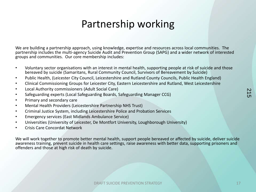## Partnership working

We are building a partnership approach, using knowledge, expertise and resources across local communities. The partnership includes the multi-agency Suicide Audit and Prevention Group (SAPG) and a wider network of interested groups and communities. Our core membership includes:

- Voluntary sector organisations with an interest in mental health, supporting people at risk of suicide and those bereaved by suicide (Samaritans, Rural Community Council, Survivors of Bereavement by Suicide)
- Public Health, (Leicester City Council, Leicestershire and Rutland County Councils, Public Health England)
- Clinical Commissioning Groups for Leicester City, Eastern Leicestershire and Rutland, West Leicestershire
- Local Authority commissioners (Adult Social Care)
- Safeguarding experts (Local Safeguarding Boards, Safeguarding Manager CCG)
- Primary and secondary care
- Mental Health Providers (Leicestershire Partnership NHS Trust)
- Criminal Justice System, including Leicestershire Police and Probation Services
- Emergency services (East Midlands Ambulance Service)
- Universities (University of Leicester, De Montfort University, Loughborough University)
- Crisis Care Concordat Network

We will work together to promote better mental health, support people bereaved or affected by suicide, deliver suicide awareness training, prevent suicide in health care settings, raise awareness with better data, supporting prisoners and offenders and those at high risk of death by suicide.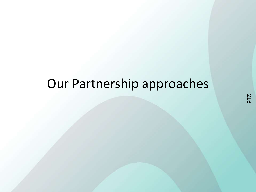## Our Partnership approaches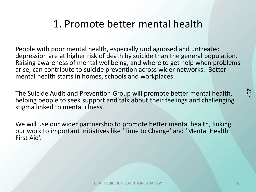## 1. Promote better mental health

People with poor mental health, especially undiagnosed and untreated depression are at higher risk of death by suicide than the general population. Raising awareness of mental wellbeing, and where to get help when problems arise, can contribute to suicide prevention across wider networks. Better mental health starts in homes, schools and workplaces.

The Suicide Audit and Prevention Group will promote better mental health, helping people to seek support and talk about their feelings and challenging stigma linked to mental illness.

We will use our wider partnership to promote better mental health, linking our work to important initiatives like 'Time to Change' and 'Mental Health First Aid'.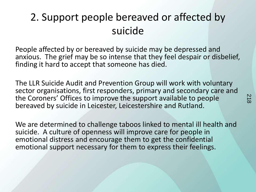## 2. Support people bereaved or affected by suicide

People affected by or bereaved by suicide may be depressed and anxious. The grief may be so intense that they feel despair or disbelief, finding it hard to accept that someone has died.

The LLR Suicide Audit and Prevention Group will work with voluntary sector organisations, first responders, primary and secondary care and the Coroners' Offices to improve the support available to people bereaved by suicide in Leicester, Leicestershire and Rutland.

We are determined to challenge taboos linked to mental ill health and suicide. A culture of openness will improve care for people in emotional distress and encourage them to get the confidential emotional support necessary for them to express their feelings.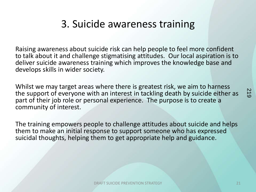## 3. Suicide awareness training

Raising awareness about suicide risk can help people to feel more confident to talk about it and challenge stigmatising attitudes. Our local aspiration is to deliver suicide awareness training which improves the knowledge base and develops skills in wider society.

Whilst we may target areas where there is greatest risk, we aim to harness the support of everyone with an interest in tackling death by suicide either as part of their job role or personal experience. The purpose is to create a community of interest.

The training empowers people to challenge attitudes about suicide and helps them to make an initial response to support someone who has expressed suicidal thoughts, helping them to get appropriate help and guidance.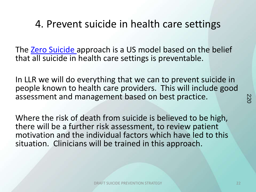#### 4. Prevent suicide in health care settings

The [Zero Suicide a](https://zerosuicide.org/)pproach is a US model based on the belief that all suicide in health care settings is preventable.

In LLR we will do everything that we can to prevent suicide in people known to health care providers. This will include good assessment and management based on best practice.

Where the risk of death from suicide is believed to be high, there will be a further risk assessment, to review patient motivation and the individual factors which have led to this situation. Clinicians will be trained in this approach.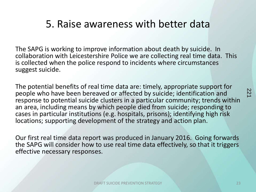#### 5. Raise awareness with better data

The SAPG is working to improve information about death by suicide. In collaboration with Leicestershire Police we are collecting real time data. This is collected when the police respond to incidents where circumstances suggest suicide.

The potential benefits of real time data are: timely, appropriate support for people who have been bereaved or affected by suicide; identification and response to potential suicide clusters in a particular community; trends within an area, including means by which people died from suicide; responding to cases in particular institutions (e.g. hospitals, prisons); identifying high risk locations; supporting development of the strategy and action plan.

Our first real time data report was produced in January 2016. Going forwards the SAPG will consider how to use real time data effectively, so that it triggers effective necessary responses.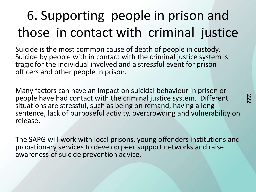# 6. Supporting people in prison and those in contact with criminal justice

Suicide is the most common cause of death of people in custody. Suicide by people with in contact with the criminal justice system is tragic for the individual involved and a stressful event for prison officers and other people in prison.

Many factors can have an impact on suicidal behaviour in prison or people have had contact with the criminal justice system. Different situations are stressful, such as being on remand, having a long sentence, lack of purposeful activity, overcrowding and vulnerability on release.

The SAPG will work with local prisons, young offenders institutions and probationary services to develop peer support networks and raise awareness of suicide prevention advice.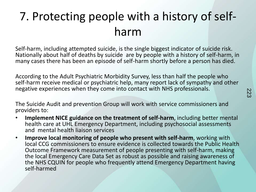## 7. Protecting people with a history of selfharm

Self-harm, including attempted suicide, is the single biggest indicator of suicide risk. Nationally about half of deaths by suicide are by people with a history of self-harm, in many cases there has been an episode of self-harm shortly before a person has died.

According to the Adult Psychiatric Morbidity Survey, less than half the people who self-harm receive medical or psychiatric help, many report lack of sympathy and other negative experiences when they come into contact with NHS professionals.

The Suicide Audit and prevention Group will work with service commissioners and providers to:

- **Implement NICE guidance on the treatment of self-harm**, including better mental health care at UHL Emergency Department, including psychosocial assessments and mental health liaison services
- **Improve local monitoring of people who present with self-harm**, working with local CCG commissioners to ensure evidence is collected towards the Public Health Outcome Framework measurement of people presenting with self-harm, making the local Emergency Care Data Set as robust as possible and raising awareness of the NHS CQUIN for people who frequently attend Emergency Department having self-harmed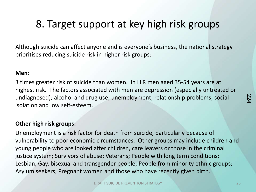## 8. Target support at key high risk groups

Although suicide can affect anyone and is everyone's business, the national strategy prioritises reducing suicide risk in higher risk groups:

#### **Men:**

3 times greater risk of suicide than women. In LLR men aged 35-54 years are at highest risk. The factors associated with men are depression (especially untreated or undiagnosed); alcohol and drug use; unemployment; relationship problems; social isolation and low self-esteem.

#### **Other high risk groups:**

Unemployment is a risk factor for death from suicide, particularly because of vulnerability to poor economic circumstances. Other groups may include children and young people who are looked after children, care leavers or those in the criminal justice system; Survivors of abuse; Veterans; People with long term conditions; Lesbian, Gay, bisexual and transgender people; People from minority ethnic groups; Asylum seekers; Pregnant women and those who have recently given birth.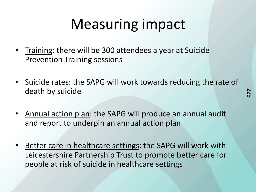# Measuring impact

- Training: there will be 300 attendees a year at Suicide Prevention Training sessions
- Suicide rates: the SAPG will work towards reducing the rate of death by suicide
- Annual action plan: the SAPG will produce an annual audit and report to underpin an annual action plan
- Better care in healthcare settings: the SAPG will work with Leicestershire Partnership Trust to promote better care for people at risk of suicide in healthcare settings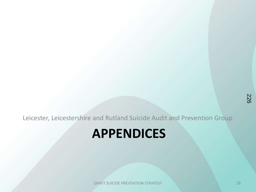Leicester, Leicestershire and Rutland Suicide Audit and Prevention Group

## **APPENDICES**

**DRAFT SUICIDE PREVENTION STRATEGY 28** 28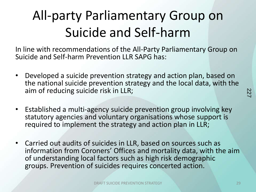# All-party Parliamentary Group on Suicide and Self-harm

In line with recommendations of the All-Party Parliamentary Group on Suicide and Self-harm Prevention LLR SAPG has:

- Developed a suicide prevention strategy and action plan, based on the national suicide prevention strategy and the local data, with the aim of reducing suicide risk in LLR;
- Established a multi-agency suicide prevention group involving key statutory agencies and voluntary organisations whose support is required to implement the strategy and action plan in LLR;
- Carried out audits of suicides in LLR, based on sources such as information from Coroners' Offices and mortality data, with the aim of understanding local factors such as high risk demographic groups. Prevention of suicides requires concerted action.